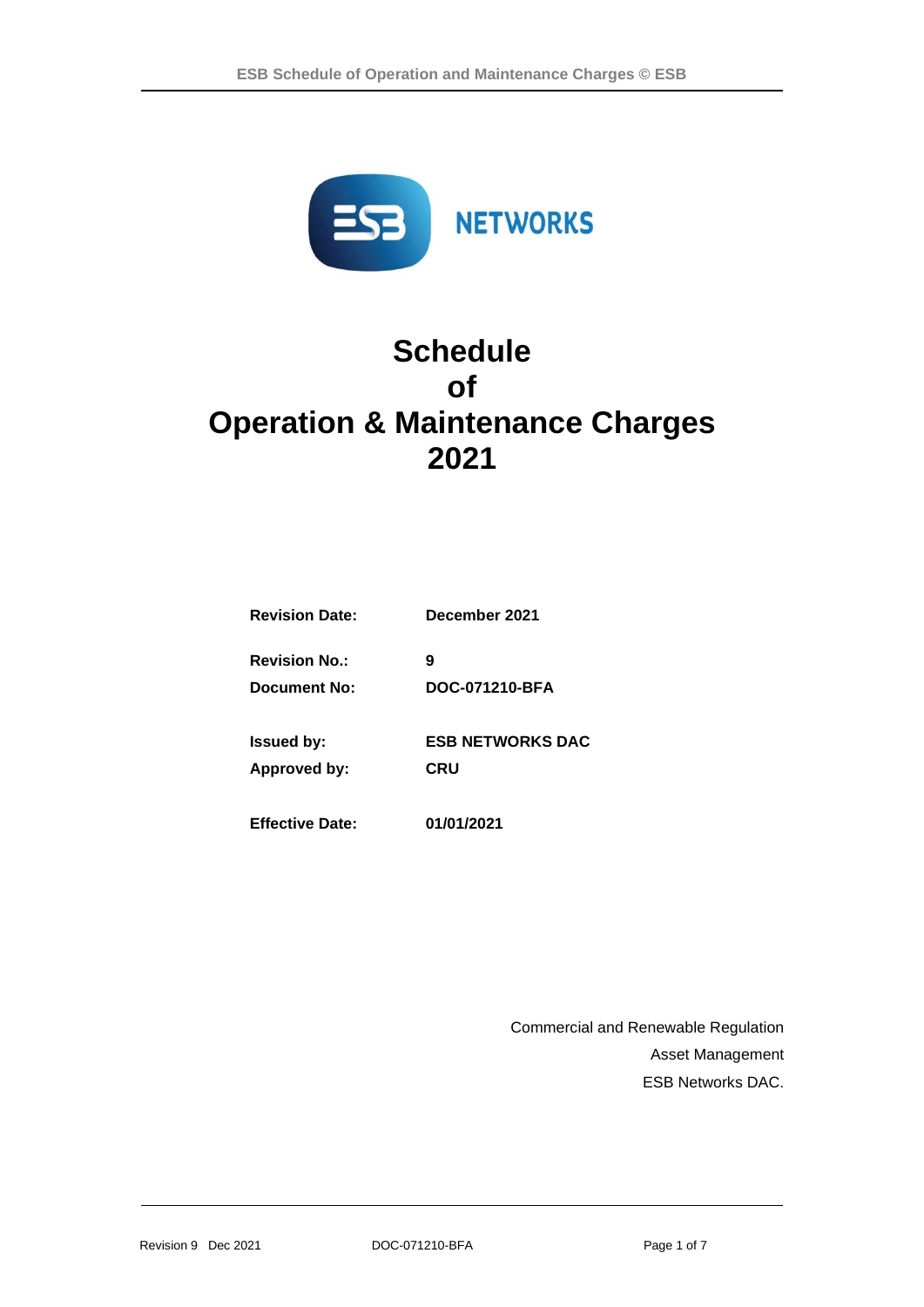

# **Schedule of Operation & Maintenance Charges 2021**

| <b>Revision Date:</b>  | December 2021           |  |  |  |
|------------------------|-------------------------|--|--|--|
| <b>Revision No.:</b>   | 9                       |  |  |  |
| Document No:           | DOC-071210-BFA          |  |  |  |
| <b>Issued by:</b>      | <b>ESB NETWORKS DAC</b> |  |  |  |
| Approved by:           | CRU                     |  |  |  |
| <b>Effective Date:</b> | 01/01/2021              |  |  |  |

Commercial and Renewable Regulation Asset Management ESB Networks DAC.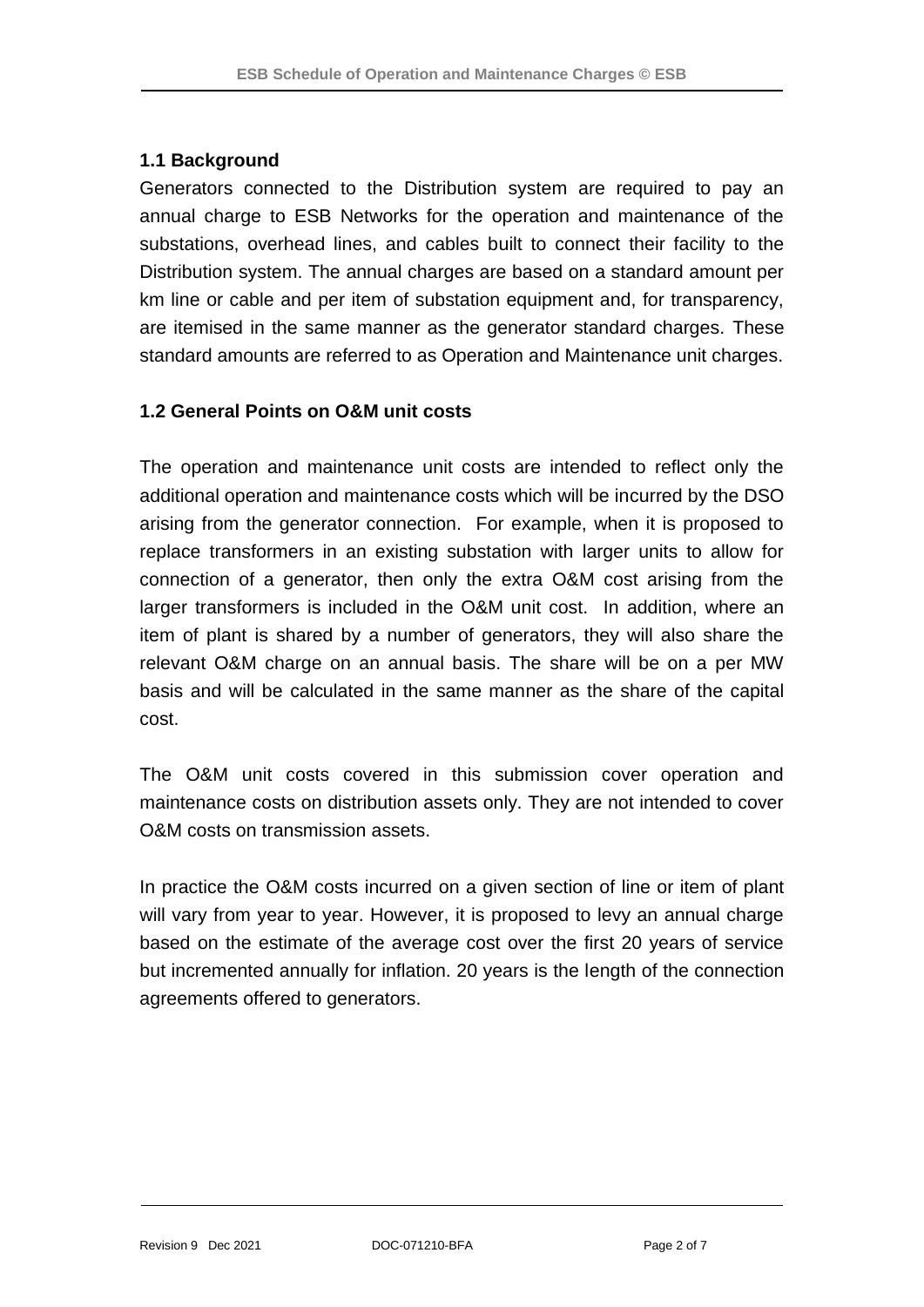## **1.1 Background**

Generators connected to the Distribution system are required to pay an annual charge to ESB Networks for the operation and maintenance of the substations, overhead lines, and cables built to connect their facility to the Distribution system. The annual charges are based on a standard amount per km line or cable and per item of substation equipment and, for transparency, are itemised in the same manner as the generator standard charges. These standard amounts are referred to as Operation and Maintenance unit charges.

### **1.2 General Points on O&M unit costs**

The operation and maintenance unit costs are intended to reflect only the additional operation and maintenance costs which will be incurred by the DSO arising from the generator connection. For example, when it is proposed to replace transformers in an existing substation with larger units to allow for connection of a generator, then only the extra O&M cost arising from the larger transformers is included in the O&M unit cost. In addition, where an item of plant is shared by a number of generators, they will also share the relevant O&M charge on an annual basis. The share will be on a per MW basis and will be calculated in the same manner as the share of the capital cost.

The O&M unit costs covered in this submission cover operation and maintenance costs on distribution assets only. They are not intended to cover O&M costs on transmission assets.

In practice the O&M costs incurred on a given section of line or item of plant will vary from year to year. However, it is proposed to levy an annual charge based on the estimate of the average cost over the first 20 years of service but incremented annually for inflation. 20 years is the length of the connection agreements offered to generators.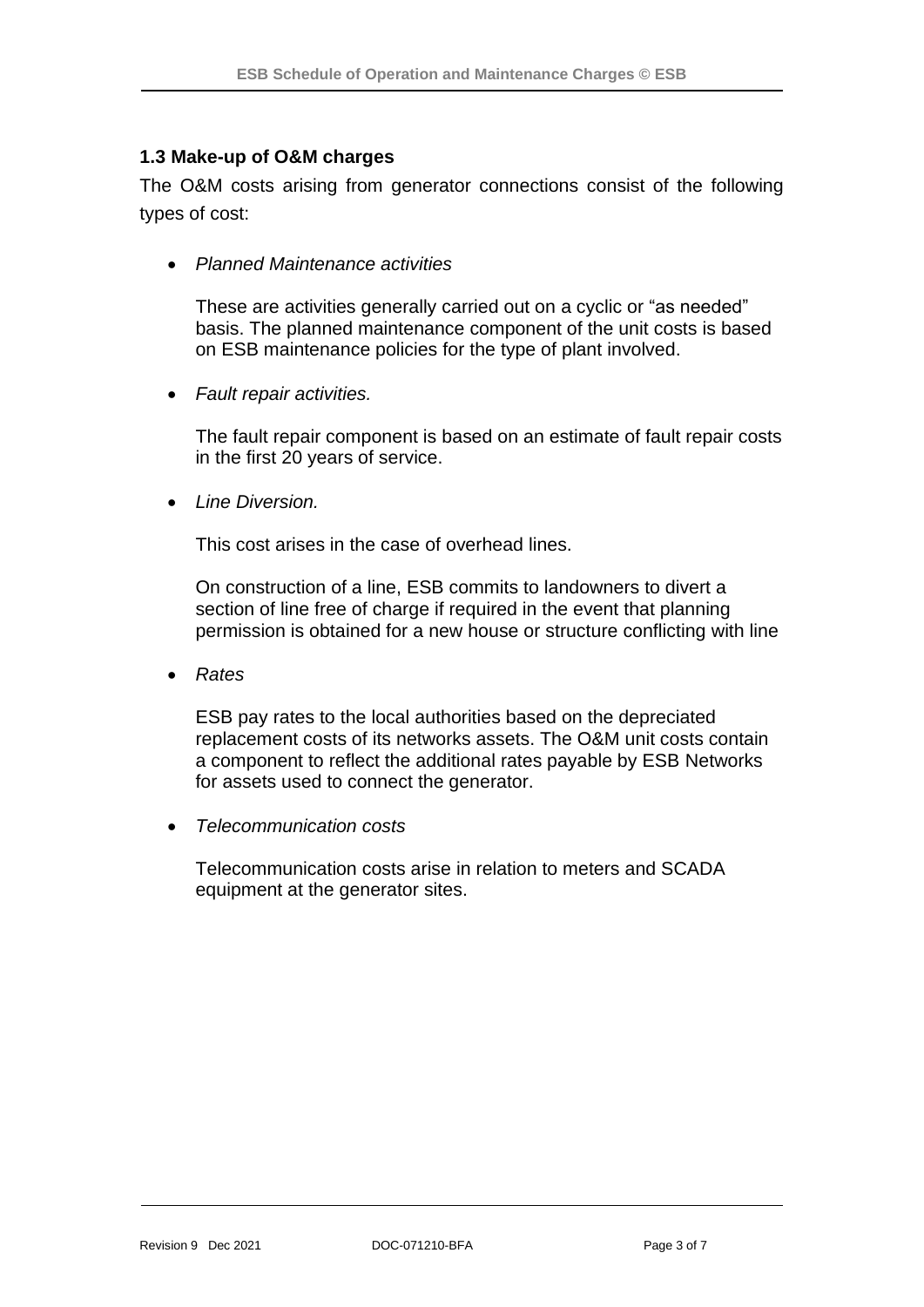#### **1.3 Make-up of O&M charges**

The O&M costs arising from generator connections consist of the following types of cost:

• *Planned Maintenance activities*

These are activities generally carried out on a cyclic or "as needed" basis. The planned maintenance component of the unit costs is based on ESB maintenance policies for the type of plant involved.

• *Fault repair activities.*

The fault repair component is based on an estimate of fault repair costs in the first 20 years of service.

• *Line Diversion.* 

This cost arises in the case of overhead lines.

On construction of a line, ESB commits to landowners to divert a section of line free of charge if required in the event that planning permission is obtained for a new house or structure conflicting with line

• *Rates*

ESB pay rates to the local authorities based on the depreciated replacement costs of its networks assets. The O&M unit costs contain a component to reflect the additional rates payable by ESB Networks for assets used to connect the generator.

• *Telecommunication costs*

Telecommunication costs arise in relation to meters and SCADA equipment at the generator sites.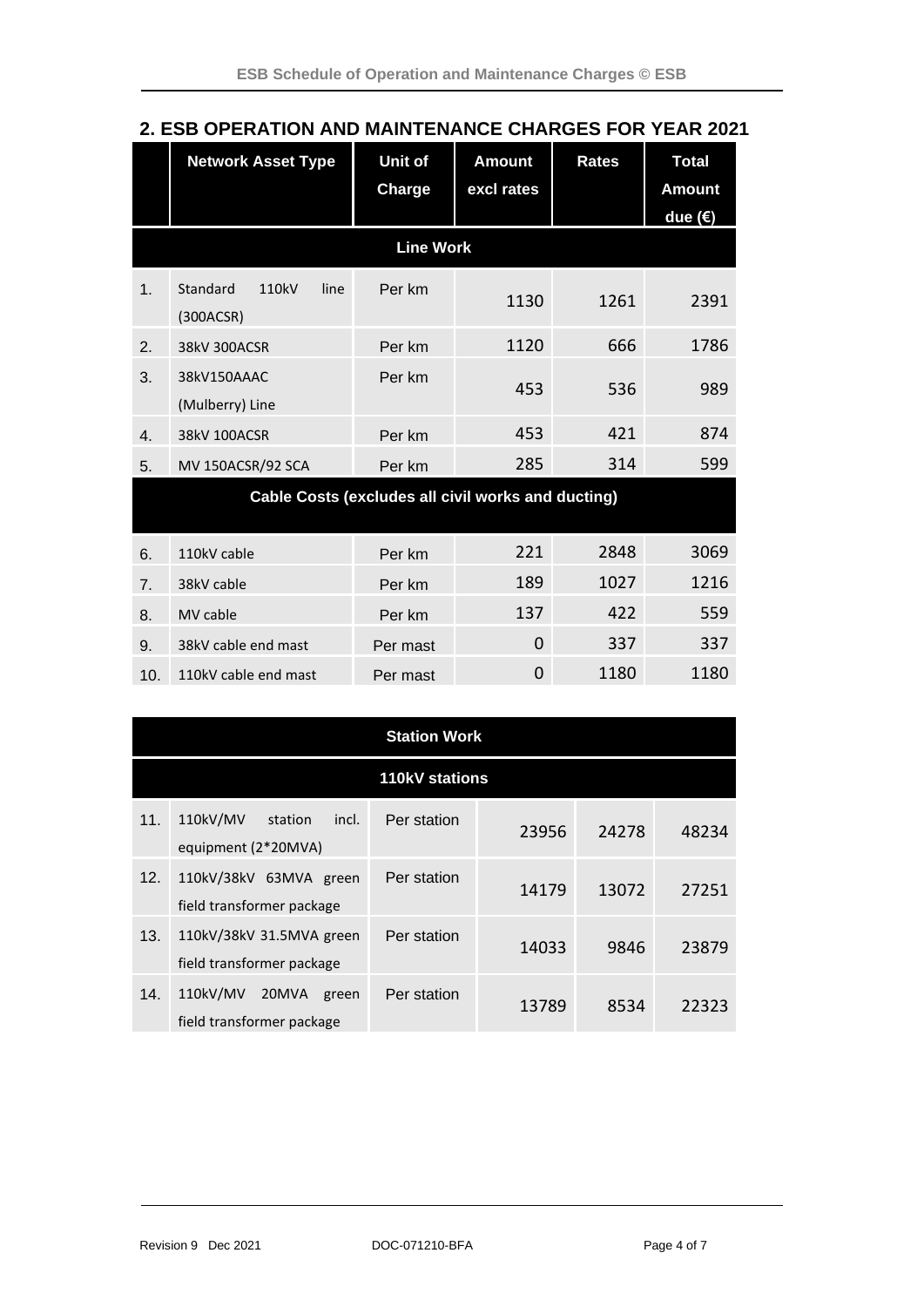|                                                    | <b>Network Asset Type</b>              | Unit of<br>Charge | <b>Amount</b><br>excl rates | <b>Rates</b> | <b>Total</b><br><b>Amount</b><br>due $(\epsilon)$ |  |
|----------------------------------------------------|----------------------------------------|-------------------|-----------------------------|--------------|---------------------------------------------------|--|
|                                                    |                                        | <b>Line Work</b>  |                             |              |                                                   |  |
| 1.                                                 | Standard<br>110kV<br>line<br>(300ACSR) | Per km            | 1130                        | 1261         | 2391                                              |  |
| 2.                                                 | 38kV 300ACSR                           | Per km            | 1120                        | 666          | 1786                                              |  |
| 3.                                                 | 38kV150AAAC<br>(Mulberry) Line         | Per km            | 453                         | 536          | 989                                               |  |
| $\overline{4}$ .                                   | 38kV 100ACSR                           | Per km            | 453                         | 421          | 874                                               |  |
| 5.                                                 | MV 150ACSR/92 SCA                      | Per km            | 285                         | 314          | 599                                               |  |
| Cable Costs (excludes all civil works and ducting) |                                        |                   |                             |              |                                                   |  |
| 6.                                                 | 110kV cable                            | Per km            | 221                         | 2848         | 3069                                              |  |
| 7 <sub>1</sub>                                     | 38kV cable                             | Per km            | 189                         | 1027         | 1216                                              |  |
| 8.                                                 | MV cable                               | Per km            | 137                         | 422          | 559                                               |  |
| 9.                                                 | 38kV cable end mast                    | Per mast          | 0                           | 337          | 337                                               |  |
| 10.                                                | 110kV cable end mast                   | Per mast          | 0                           | 1180         | 1180                                              |  |

## **2. ESB OPERATION AND MAINTENANCE CHARGES FOR YEAR 2021**

|     | <b>Station Work</b>                                     |             |       |       |       |  |
|-----|---------------------------------------------------------|-------------|-------|-------|-------|--|
|     | <b>110kV stations</b>                                   |             |       |       |       |  |
| 11. | 110kV/MV<br>incl.<br>station<br>equipment (2*20MVA)     | Per station | 23956 | 24278 | 48234 |  |
| 12. | 110kV/38kV 63MVA green<br>field transformer package     | Per station | 14179 | 13072 | 27251 |  |
| 13. | 110kV/38kV 31.5MVA green<br>field transformer package   | Per station | 14033 | 9846  | 23879 |  |
| 14. | 110kV/MV<br>20MVA<br>green<br>field transformer package | Per station | 13789 | 8534  | 22323 |  |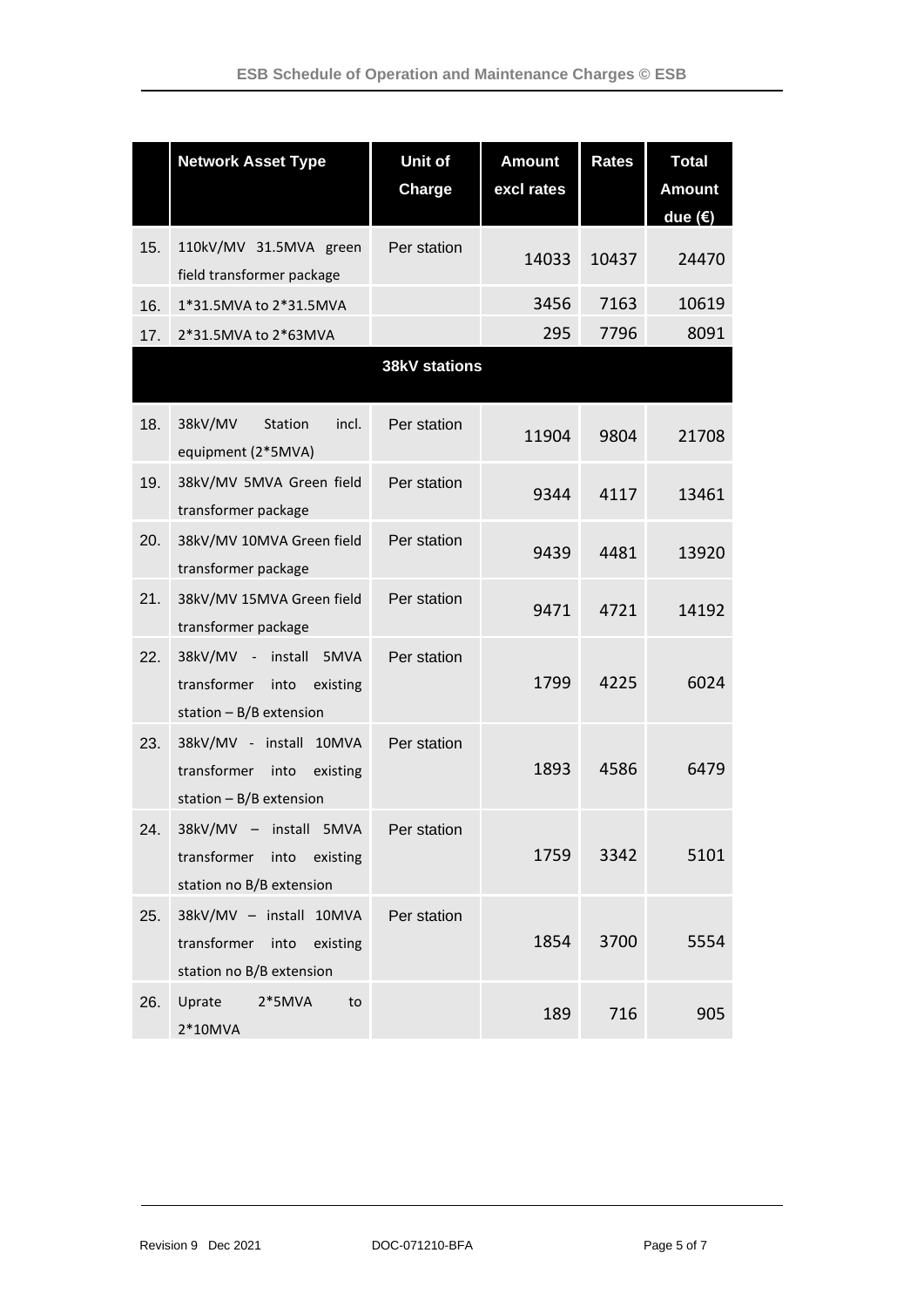|     | <b>Network Asset Type</b>                                                                  | Unit of<br>Charge    | <b>Amount</b><br>excl rates | <b>Rates</b> | <b>Total</b><br><b>Amount</b><br>due $(€)$ |
|-----|--------------------------------------------------------------------------------------------|----------------------|-----------------------------|--------------|--------------------------------------------|
| 15. | 110kV/MV 31.5MVA green<br>field transformer package                                        | Per station          | 14033                       | 10437        | 24470                                      |
| 16. | 1*31.5MVA to 2*31.5MVA                                                                     |                      | 3456                        | 7163         | 10619                                      |
| 17. | 2*31.5MVA to 2*63MVA                                                                       |                      | 295                         | 7796         | 8091                                       |
|     |                                                                                            | <b>38kV stations</b> |                             |              |                                            |
| 18. | 38kV/MV<br>Station<br>incl.<br>equipment (2*5MVA)                                          | Per station          | 11904                       | 9804         | 21708                                      |
| 19. | 38kV/MV 5MVA Green field<br>transformer package                                            | Per station          | 9344                        | 4117         | 13461                                      |
| 20. | 38kV/MV 10MVA Green field<br>transformer package                                           | Per station          | 9439                        | 4481         | 13920                                      |
| 21. | 38kV/MV 15MVA Green field<br>transformer package                                           | Per station          | 9471                        | 4721         | 14192                                      |
| 22. | 38kV/MV - install 5MVA<br>transformer into<br>existing<br>station $- B/B$ extension        | Per station          | 1799                        | 4225         | 6024                                       |
| 23. | 38kV/MV - install<br>10MVA<br>transformer<br>into<br>existing<br>station $- B/B$ extension | Per station          | 1893                        | 4586         | 6479                                       |
| 24. | 38kV/MV - install 5MVA<br>transformer<br>into<br>existing<br>station no B/B extension      | Per station          | 1759                        | 3342         | 5101                                       |
| 25. | 38kV/MV - install 10MVA<br>transformer into<br>existing<br>station no B/B extension        | Per station          | 1854                        | 3700         | 5554                                       |
| 26. | Uprate<br>$2*5MVA$<br>to<br>$2*10MVA$                                                      |                      | 189                         | 716          | 905                                        |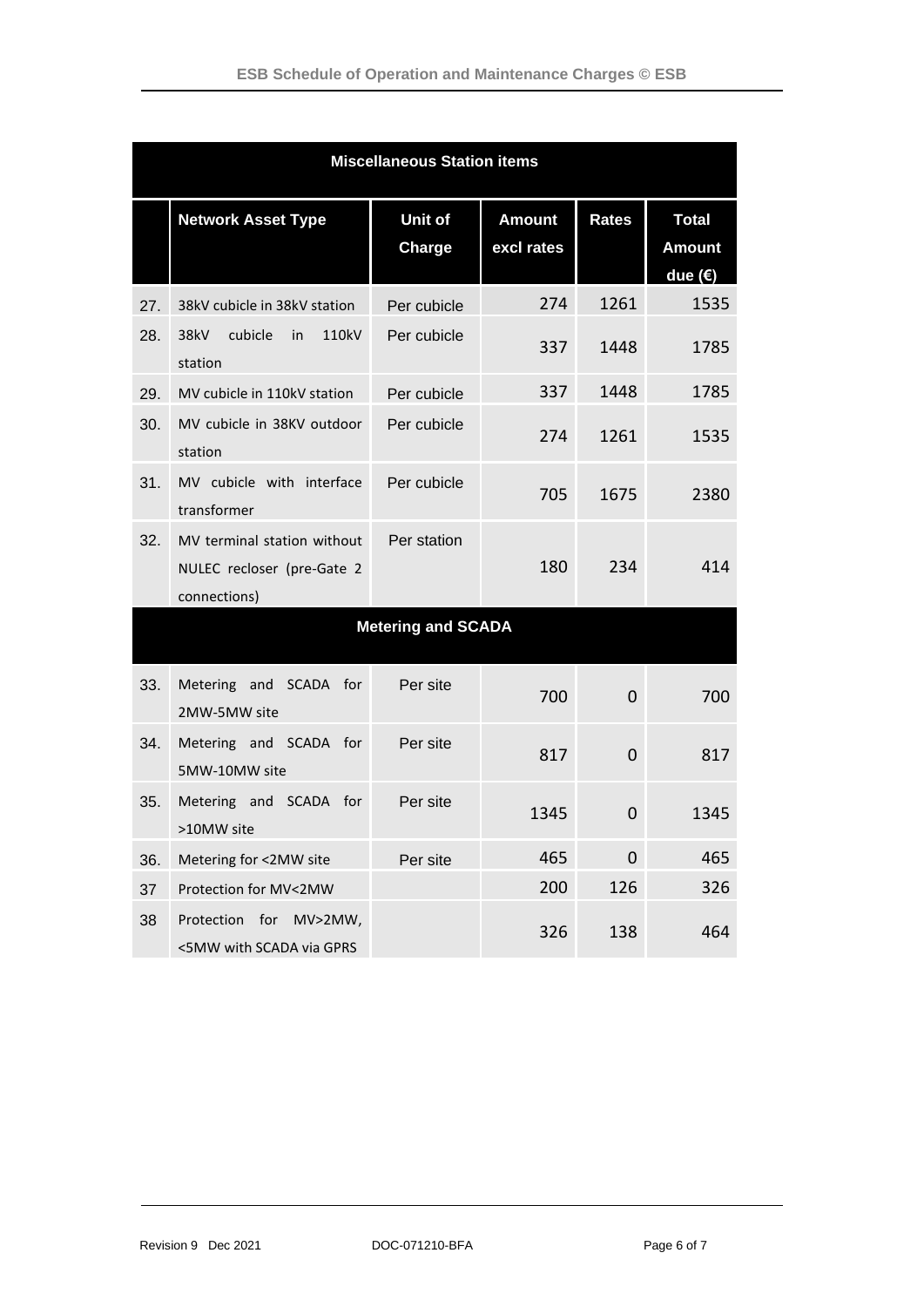| <b>Miscellaneous Station items</b> |                                                                           |                           |                             |                |                                            |
|------------------------------------|---------------------------------------------------------------------------|---------------------------|-----------------------------|----------------|--------------------------------------------|
|                                    | <b>Network Asset Type</b>                                                 | Unit of<br>Charge         | <b>Amount</b><br>excl rates | <b>Rates</b>   | <b>Total</b><br><b>Amount</b><br>due $(€)$ |
| 27.                                | 38kV cubicle in 38kV station                                              | Per cubicle               | 274                         | 1261           | 1535                                       |
| 28.                                | 38kV<br>cubicle<br>110kV<br>in<br>station                                 | Per cubicle               | 337                         | 1448           | 1785                                       |
| 29.                                | MV cubicle in 110kV station                                               | Per cubicle               | 337                         | 1448           | 1785                                       |
| 30.                                | MV cubicle in 38KV outdoor<br>station                                     | Per cubicle               | 274                         | 1261           | 1535                                       |
| 31.                                | MV cubicle with interface<br>transformer                                  | Per cubicle               | 705                         | 1675           | 2380                                       |
| 32.                                | MV terminal station without<br>NULEC recloser (pre-Gate 2<br>connections) | Per station               | 180                         | 234            | 414                                        |
|                                    |                                                                           | <b>Metering and SCADA</b> |                             |                |                                            |
| 33.                                | Metering and SCADA for<br>2MW-5MW site                                    | Per site                  | 700                         | 0              | 700                                        |
| 34.                                | Metering and SCADA for<br>5MW-10MW site                                   | Per site                  | 817                         | $\overline{0}$ | 817                                        |
| 35.                                | Metering and SCADA for<br>>10MW site                                      | Per site                  | 1345                        | $\overline{0}$ | 1345                                       |
| 36.                                | Metering for <2MW site                                                    | Per site                  | 465                         | 0              | 465                                        |
| 37                                 | Protection for MV<2MW                                                     |                           | 200                         | 126            | 326                                        |
| 38                                 | Protection<br>for<br>$MV>2MW$ ,<br><5MW with SCADA via GPRS               |                           | 326                         | 138            | 464                                        |